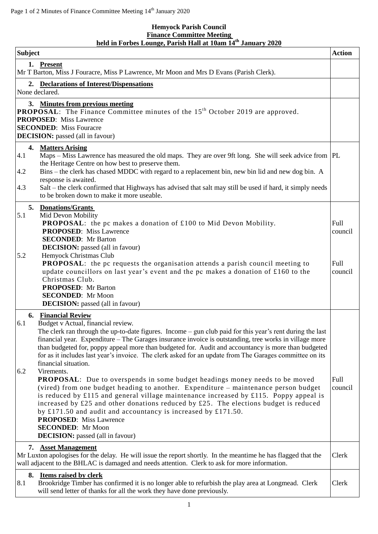## **Hemyock Parish Council Finance Committee Meeting held in Forbes Lounge, Parish Hall at 10am 14th January 2020**

| <b>Subject</b>                                                                                                                                                                                                                                                                                                                                                                                                                                                                                                                                                                                                                                      | <b>Action</b>   |
|-----------------------------------------------------------------------------------------------------------------------------------------------------------------------------------------------------------------------------------------------------------------------------------------------------------------------------------------------------------------------------------------------------------------------------------------------------------------------------------------------------------------------------------------------------------------------------------------------------------------------------------------------------|-----------------|
| 1. Present<br>Mr T Barton, Miss J Fouracre, Miss P Lawrence, Mr Moon and Mrs D Evans (Parish Clerk).                                                                                                                                                                                                                                                                                                                                                                                                                                                                                                                                                |                 |
| 2. Declarations of Interest/Dispensations<br>None declared.                                                                                                                                                                                                                                                                                                                                                                                                                                                                                                                                                                                         |                 |
| 3. Minutes from previous meeting<br><b>PROPOSAL:</b> The Finance Committee minutes of the 15 <sup>th</sup> October 2019 are approved.<br><b>PROPOSED:</b> Miss Lawrence<br><b>SECONDED:</b> Miss Fouracre<br><b>DECISION:</b> passed (all in favour)                                                                                                                                                                                                                                                                                                                                                                                                |                 |
| 4. Matters Arising<br>Maps – Miss Lawrence has measured the old maps. They are over 9ft long. She will seek advice from  PL<br>4.1<br>the Heritage Centre on how best to preserve them.<br>4.2<br>Bins – the clerk has chased MDDC with regard to a replacement bin, new bin lid and new dog bin. A<br>response is awaited.<br>4.3<br>Salt – the clerk confirmed that Highways has advised that salt may still be used if hard, it simply needs<br>to be broken down to make it more useable.                                                                                                                                                       |                 |
| 5. Donations/Grants<br>5.1<br>Mid Devon Mobility<br><b>PROPOSAL:</b> the pc makes a donation of £100 to Mid Devon Mobility.<br><b>PROPOSED:</b> Miss Lawrence<br><b>SECONDED:</b> Mr Barton<br><b>DECISION:</b> passed (all in favour)                                                                                                                                                                                                                                                                                                                                                                                                              | Full<br>council |
| 5.2<br>Hemyock Christmas Club<br>PROPOSAL: the pc requests the organisation attends a parish council meeting to<br>update councillors on last year's event and the pc makes a donation of £160 to the<br>Christmas Club.<br><b>PROPOSED:</b> Mr Barton<br><b>SECONDED:</b> Mr Moon<br><b>DECISION:</b> passed (all in favour)                                                                                                                                                                                                                                                                                                                       | Full<br>council |
| <b>6. Financial Review</b><br>Budget v Actual, financial review.<br>6.1<br>The clerk ran through the up-to-date figures. Income – gun club paid for this year's rent during the last<br>financial year. Expenditure – The Garages insurance invoice is outstanding, tree works in village more<br>than budgeted for, poppy appeal more than budgeted for. Audit and accountancy is more than budgeted<br>for as it includes last year's invoice. The clerk asked for an update from The Garages committee on its<br>financial situation.<br>Virements.<br>6.2<br><b>PROPOSAL:</b> Due to overspends in some budget headings money needs to be moved | Full            |
| (vired) from one budget heading to another. Expenditure - maintenance person budget<br>is reduced by £115 and general village maintenance increased by £115. Poppy appeal is<br>increased by £25 and other donations reduced by £25. The elections budget is reduced<br>by £171.50 and audit and accountancy is increased by £171.50.<br><b>PROPOSED:</b> Miss Lawrence<br><b>SECONDED:</b> Mr Moon<br><b>DECISION:</b> passed (all in favour)                                                                                                                                                                                                      | council         |
| 7. Asset Management<br>Mr Luxton apologises for the delay. He will issue the report shortly. In the meantime he has flagged that the<br>wall adjacent to the BHLAC is damaged and needs attention. Clerk to ask for more information.                                                                                                                                                                                                                                                                                                                                                                                                               | Clerk           |
| 8. Items raised by clerk<br>8.1<br>Brookridge Timber has confirmed it is no longer able to refurbish the play area at Longmead. Clerk<br>will send letter of thanks for all the work they have done previously.                                                                                                                                                                                                                                                                                                                                                                                                                                     | Clerk           |